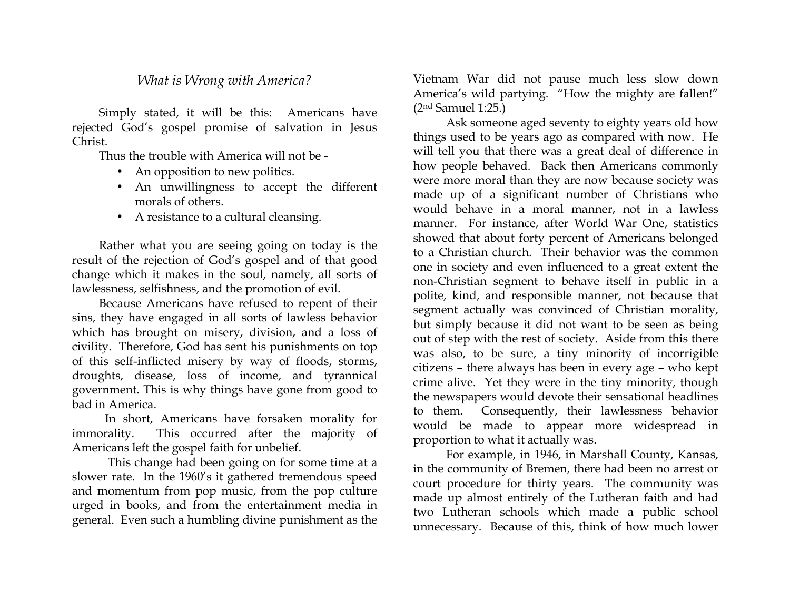## *What is Wrong with America?*

Simply stated, it will be this: Americans have rejected God's gospel promise of salvation in Jesus Christ.

Thus the trouble with America will not be -

- An opposition to new politics.
- An unwillingness to accept the different morals of others.
- A resistance to a cultural cleansing.

Rather what you are seeing going on today is the result of the rejection of God's gospel and of that good change which it makes in the soul, namely, all sorts of lawlessness, selfishness, and the promotion of evil.

Because Americans have refused to repent of their sins, they have engaged in all sorts of lawless behavior which has brought on misery, division, and a loss of civility. Therefore, God has sent his punishments on top of this self-inflicted misery by way of floods, storms, droughts, disease, loss of income, and tyrannical government. This is why things have gone from good to bad in America.

 In short, Americans have forsaken morality for immorality. This occurred after the majority of Americans left the gospel faith for unbelief.

 This change had been going on for some time at a slower rate. In the 1960's it gathered tremendous speed and momentum from pop music, from the pop culture urged in books, and from the entertainment media in general. Even such a humbling divine punishment as the

Vietnam War did not pause much less slow down America's wild partying. "How the mighty are fallen!" (2nd Samuel 1:25.)

 Ask someone aged seventy to eighty years old how things used to be years ago as compared with now. He will tell you that there was a great deal of difference in how people behaved. Back then Americans commonly were more moral than they are now because society was made up of a significant number of Christians who would behave in a moral manner, not in a lawless manner. For instance, after World War One, statistics showed that about forty percent of Americans belonged to a Christian church. Their behavior was the common one in society and even influenced to a great extent the non-Christian segment to behave itself in public in a polite, kind, and responsible manner, not because that segment actually was convinced of Christian morality, but simply because it did not want to be seen as being out of step with the rest of society. Aside from this there was also, to be sure, a tiny minority of incorrigible citizens – there always has been in every age – who kept crime alive. Yet they were in the tiny minority, though the newspapers would devote their sensational headlines to them. Consequently, their lawlessness behavior would be made to appear more widespread in proportion to what it actually was.

 For example, in 1946, in Marshall County, Kansas, in the community of Bremen, there had been no arrest or court procedure for thirty years. The community was made up almost entirely of the Lutheran faith and had two Lutheran schools which made a public school unnecessary. Because of this, think of how much lower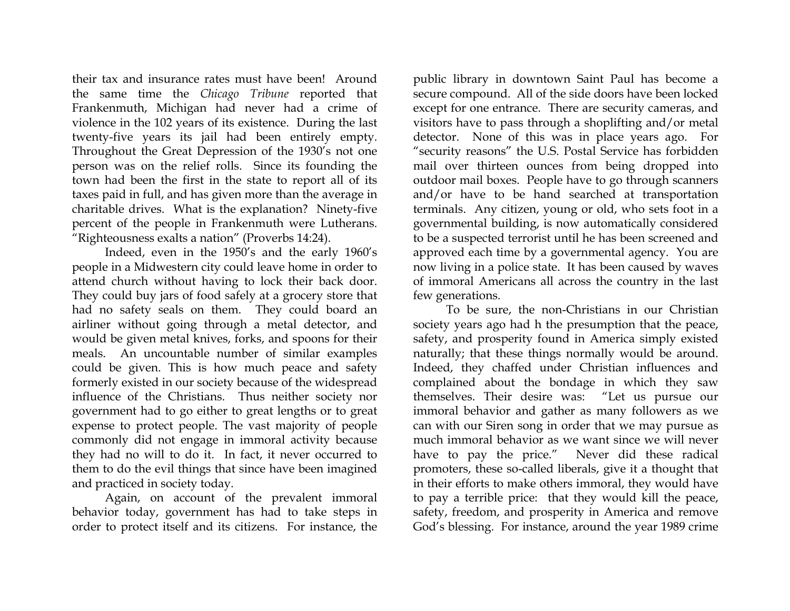their tax and insurance rates must have been! Around the same time the *Chicago Tribune* reported that Frankenmuth, Michigan had never had a crime of violence in the 102 years of its existence. During the last twenty-five years its jail had been entirely empty. Throughout the Great Depression of the 1930's not one person was on the relief rolls. Since its founding the town had been the first in the state to report all of its taxes paid in full, and has given more than the average in charitable drives. What is the explanation? Ninety-five percent of the people in Frankenmuth were Lutherans. "Righteousness exalts a nation" (Proverbs 14:24).

 Indeed, even in the 1950's and the early 1960's people in a Midwestern city could leave home in order to attend church without having to lock their back door. They could buy jars of food safely at a grocery store that had no safety seals on them. They could board an airliner without going through a metal detector, and would be given metal knives, forks, and spoons for their meals. An uncountable number of similar examples could be given. This is how much peace and safety formerly existed in our society because of the widespread influence of the Christians. Thus neither society nor government had to go either to great lengths or to great expense to protect people. The vast majority of people commonly did not engage in immoral activity because they had no will to do it. In fact, it never occurred to them to do the evil things that since have been imagined and practiced in society today.

 Again, on account of the prevalent immoral behavior today, government has had to take steps in order to protect itself and its citizens. For instance, the

public library in downtown Saint Paul has become a secure compound. All of the side doors have been locked except for one entrance. There are security cameras, and visitors have to pass through a shoplifting and/or metal detector. None of this was in place years ago. For "security reasons" the U.S. Postal Service has forbidden mail over thirteen ounces from being dropped into outdoor mail boxes. People have to go through scanners and/or have to be hand searched at transportation terminals. Any citizen, young or old, who sets foot in a governmental building, is now automatically considered to be a suspected terrorist until he has been screened and approved each time by a governmental agency. You are now living in a police state. It has been caused by waves of immoral Americans all across the country in the last few generations.

 To be sure, the non-Christians in our Christian society years ago had h the presumption that the peace, safety, and prosperity found in America simply existed naturally; that these things normally would be around. Indeed, they chaffed under Christian influences and complained about the bondage in which they saw themselves. Their desire was: "Let us pursue our immoral behavior and gather as many followers as we can with our Siren song in order that we may pursue as much immoral behavior as we want since we will never have to pay the price." Never did these radical promoters, these so-called liberals, give it a thought that in their efforts to make others immoral, they would have to pay a terrible price: that they would kill the peace, safety, freedom, and prosperity in America and remove God's blessing. For instance, around the year 1989 crime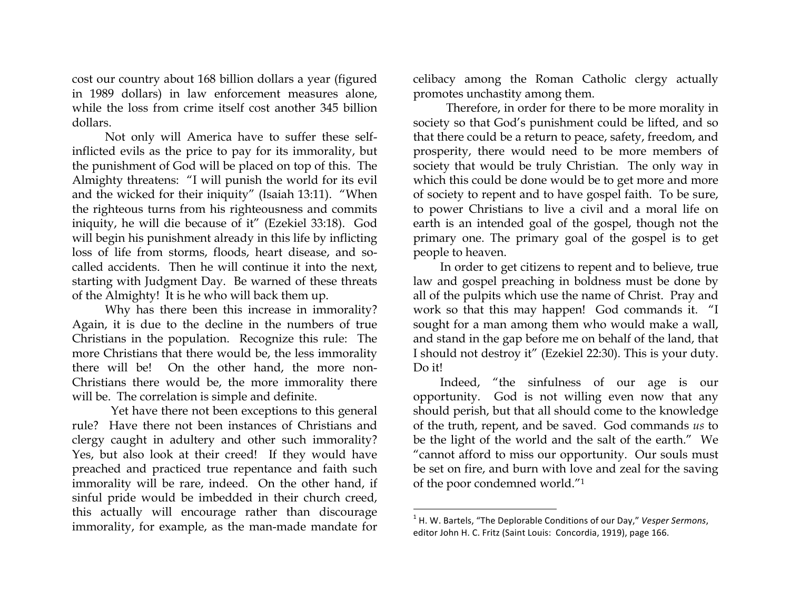cost our country about 168 billion dollars a year (figured in 1989 dollars) in law enforcement measures alone, while the loss from crime itself cost another 345 billion dollars.

 Not only will America have to suffer these selfinflicted evils as the price to pay for its immorality, but the punishment of God will be placed on top of this. The Almighty threatens: "I will punish the world for its evil and the wicked for their iniquity" (Isaiah 13:11). "When the righteous turns from his righteousness and commits iniquity, he will die because of it" (Ezekiel 33:18). God will begin his punishment already in this life by inflicting loss of life from storms, floods, heart disease, and socalled accidents. Then he will continue it into the next, starting with Judgment Day. Be warned of these threats of the Almighty! It is he who will back them up.

 Why has there been this increase in immorality? Again, it is due to the decline in the numbers of true Christians in the population. Recognize this rule: The more Christians that there would be, the less immorality there will be! On the other hand, the more non-Christians there would be, the more immorality there will be. The correlation is simple and definite.

 Yet have there not been exceptions to this general rule? Have there not been instances of Christians and clergy caught in adultery and other such immorality? Yes, but also look at their creed! If they would have preached and practiced true repentance and faith such immorality will be rare, indeed. On the other hand, if sinful pride would be imbedded in their church creed, this actually will encourage rather than discourage immorality, for example, as the man-made mandate for

celibacy among the Roman Catholic clergy actually promotes unchastity among them.

 Therefore, in order for there to be more morality in society so that God's punishment could be lifted, and so that there could be a return to peace, safety, freedom, and prosperity, there would need to be more members of society that would be truly Christian. The only way in which this could be done would be to get more and more of society to repent and to have gospel faith. To be sure, to power Christians to live a civil and a moral life on earth is an intended goal of the gospel, though not the primary one. The primary goal of the gospel is to get people to heaven.

In order to get citizens to repent and to believe, true law and gospel preaching in boldness must be done by all of the pulpits which use the name of Christ. Pray and work so that this may happen! God commands it. "I sought for a man among them who would make a wall, and stand in the gap before me on behalf of the land, that I should not destroy it" (Ezekiel 22:30). This is your duty. Do it!

Indeed, "the sinfulness of our age is our opportunity. God is not willing even now that any should perish, but that all should come to the knowledge of the truth, repent, and be saved. God commands *us* to be the light of the world and the salt of the earth." We "cannot afford to miss our opportunity. Our souls must be set on fire, and burn with love and zeal for the saving of the poor condemned world."1

 

<sup>&</sup>lt;sup>1</sup> H. W. Bartels, "The Deplorable Conditions of our Day," Vesper Sermons, editor John H. C. Fritz (Saint Louis: Concordia, 1919), page 166.